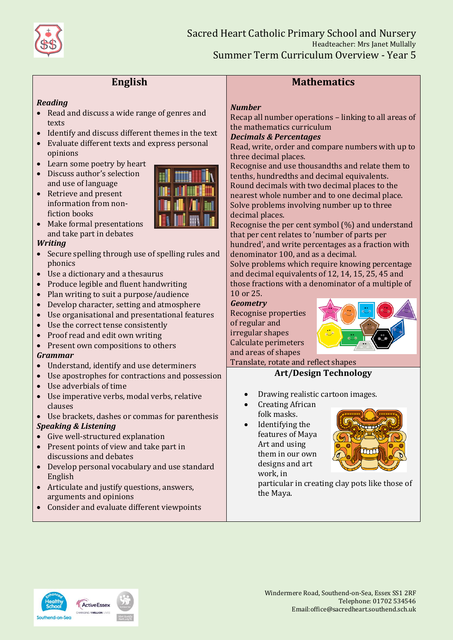

# **English**

### *Reading*

- Read and discuss a wide range of genres and texts
- Identify and discuss different themes in the text
- Evaluate different texts and express personal opinions
- Learn some poetry by heart
- Discuss author's selection and use of language
- Retrieve and present information from nonfiction books



• Make formal presentations and take part in debates

### *Writing*

- Secure spelling through use of spelling rules and phonics
- Use a dictionary and a thesaurus
- Produce legible and fluent handwriting
- Plan writing to suit a purpose/audience
- Develop character, setting and atmosphere
- Use organisational and presentational features
- Use the correct tense consistently
- Proof read and edit own writing
- Present own compositions to others

### *Grammar*

- Understand, identify and use determiners
- Use apostrophes for contractions and possession
- Use adverbials of time
- Use imperative verbs, modal verbs, relative clauses
- Use brackets, dashes or commas for parenthesis

### *Speaking & Listening*

- Give well-structured explanation
- Present points of view and take part in discussions and debates
- Develop personal vocabulary and use standard English
- Articulate and justify questions, answers, arguments and opinions
- Consider and evaluate different viewpoints

# **Mathematics**

### *Number*

Recap all number operations – linking to all areas of the mathematics curriculum

### *Decimals & Percentages*

Read, write, order and compare numbers with up to three decimal places.

Recognise and use thousandths and relate them to tenths, hundredths and decimal equivalents. Round decimals with two decimal places to the nearest whole number and to one decimal place. Solve problems involving number up to three decimal places.

Recognise the per cent symbol (%) and understand that per cent relates to 'number of parts per hundred', and write percentages as a fraction with denominator 100, and as a decimal.

Solve problems which require knowing percentage and decimal equivalents of 12, 14, 15, 25, 45 and those fractions with a denominator of a multiple of 10 or 25.

*Geometry*

Recognise properties of regular and irregular shapes Calculate perimeters and areas of shapes



Translate, rotate and reflect shapes

## **Art/Design Technology**

- Drawing realistic cartoon images.
- Creating African folk masks.
- Identifying the features of Maya Art and using them in our own designs and art work, in



particular in creating clay pots like those of the Maya.

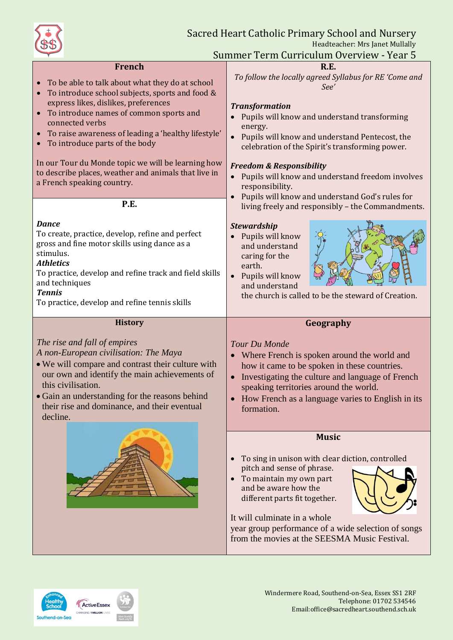

**French**

**R.E.**

| To be able to talk about what they do at school<br>To introduce school subjects, sports and food &<br>$\bullet$<br>express likes, dislikes, preferences<br>To introduce names of common sports and<br>$\bullet$<br>connected verbs<br>To raise awareness of leading a 'healthy lifestyle'<br>To introduce parts of the body<br>In our Tour du Monde topic we will be learning how<br>to describe places, weather and animals that live in<br>a French speaking country. | To follow the locally agreed Syllabus for RE 'Come and<br>See'<br><b>Transformation</b><br>Pupils will know and understand transforming<br>energy.<br>Pupils will know and understand Pentecost, the<br>celebration of the Spirit's transforming power.<br><b>Freedom &amp; Responsibility</b><br>Pupils will know and understand freedom involves<br>responsibility.<br>Pupils will know and understand God's rules for |
|-------------------------------------------------------------------------------------------------------------------------------------------------------------------------------------------------------------------------------------------------------------------------------------------------------------------------------------------------------------------------------------------------------------------------------------------------------------------------|--------------------------------------------------------------------------------------------------------------------------------------------------------------------------------------------------------------------------------------------------------------------------------------------------------------------------------------------------------------------------------------------------------------------------|
| P.E.                                                                                                                                                                                                                                                                                                                                                                                                                                                                    | living freely and responsibly - the Commandments.                                                                                                                                                                                                                                                                                                                                                                        |
| <b>Dance</b><br>To create, practice, develop, refine and perfect<br>gross and fine motor skills using dance as a<br>stimulus.<br><b>Athletics</b><br>To practice, develop and refine track and field skills<br>and techniques<br><b>Tennis</b><br>To practice, develop and refine tennis skills                                                                                                                                                                         | <b>Stewardship</b><br>Pupils will know<br>$\bullet$<br>and understand<br>caring for the<br>earth.<br>Pupils will know<br>$\bullet$<br>and understand<br>the church is called to be the steward of Creation.                                                                                                                                                                                                              |
| <b>History</b>                                                                                                                                                                                                                                                                                                                                                                                                                                                          | Geography                                                                                                                                                                                                                                                                                                                                                                                                                |
|                                                                                                                                                                                                                                                                                                                                                                                                                                                                         |                                                                                                                                                                                                                                                                                                                                                                                                                          |
| The rise and fall of empires<br>A non-European civilisation: The Maya<br>• We will compare and contrast their culture with<br>our own and identify the main achievements of<br>this civilisation.<br>• Gain an understanding for the reasons behind<br>their rise and dominance, and their eventual<br>decline.                                                                                                                                                         | Tour Du Monde<br>Where French is spoken around the world and<br>how it came to be spoken in these countries.<br>Investigating the culture and language of French<br>$\bullet$<br>speaking territories around the world.<br>How French as a language varies to English in its<br>formation.                                                                                                                               |
|                                                                                                                                                                                                                                                                                                                                                                                                                                                                         | <b>Music</b>                                                                                                                                                                                                                                                                                                                                                                                                             |
|                                                                                                                                                                                                                                                                                                                                                                                                                                                                         | To sing in unison with clear diction, controlled<br>pitch and sense of phrase.<br>To maintain my own part<br>and be aware how the                                                                                                                                                                                                                                                                                        |

from the movies at the SEESMA Music Festival.